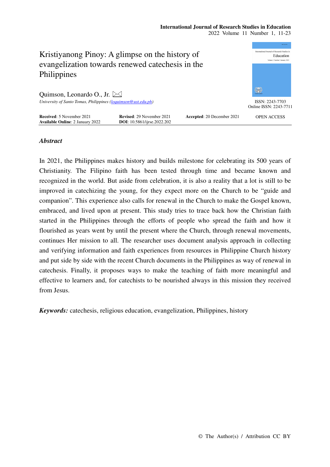# **International Journal of Research Studies in Education**  2022 Volume 11 Number 1, 11-23



# *Abstract*

In 2021, the Philippines makes history and builds milestone for celebrating its 500 years of Christianity. The Filipino faith has been tested through time and became known and recognized in the world. But aside from celebration, it is also a reality that a lot is still to be improved in catechizing the young, for they expect more on the Church to be "guide and companion". This experience also calls for renewal in the Church to make the Gospel known, embraced, and lived upon at present. This study tries to trace back how the Christian faith started in the Philippines through the efforts of people who spread the faith and how it flourished as years went by until the present where the Church, through renewal movements, continues Her mission to all. The researcher uses document analysis approach in collecting and verifying information and faith experiences from resources in Philippine Church history and put side by side with the recent Church documents in the Philippines as way of renewal in catechesis. Finally, it proposes ways to make the teaching of faith more meaningful and effective to learners and, for catechists to be nourished always in this mission they received from Jesus.

*Keywords:* catechesis, religious education, evangelization, Philippines, history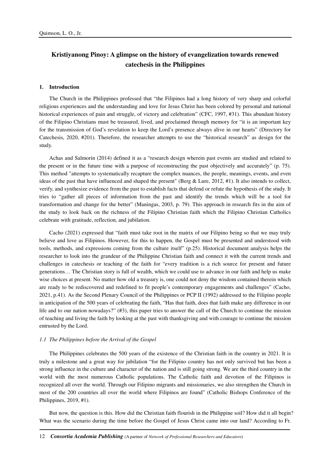# **Kristiyanong Pinoy: A glimpse on the history of evangelization towards renewed catechesis in the Philippines**

# **1. Introduction**

The Church in the Philippines professed that "the Filipinos had a long history of very sharp and colorful religious experiences and the understanding and love for Jesus Christ has been colored by personal and national historical experiences of pain and struggle, of victory and celebration" (CFC, 1997, #31). This abundant history of the Filipino Christians must be treasured, lived, and proclaimed through memory for "it is an important key for the transmission of God's revelation to keep the Lord's presence always alive in our hearts" (Directory for Catechesis, 2020, #201). Therefore, the researcher attempts to use the "historical research" as design for the study.

Achas and Salmorin (2014) defined it as a "research design wherein past events are studied and related to the present or in the future time with a purpose of reconstructing the past objectively and accurately" (p. 75). This method "attempts to systematically recapture the complex nuances, the people, meanings, events, and even ideas of the past that have influenced and shaped the present" (Berg & Lure, 2012, #1). It also intends to collect, verify, and synthesize evidence from the past to establish facts that defend or refute the hypothesis of the study. It tries to "gather all pieces of information from the past and identify the trends which will be a tool for transformation and change for the better" (Maningas, 2003, p. 79). This approach in research fits in the aim of the study to look back on the richness of the Filipino Christian faith which the Filipino Christian Catholics celebrate with gratitude, reflection, and jubilation.

Cacho (2021) expressed that "faith must take root in the matrix of our Filipino being so that we may truly believe and love as Filipinos. However, for this to happen, the Gospel must be presented and understood with tools, methods, and expressions coming from the culture itself" (p.25). Historical document analysis helps the researcher to look into the grandeur of the Philippine Christian faith and connect it with the current trends and challenges in catechesis or teaching of the faith for "every tradition is a rich source for present and future generations… The Christian story is full of wealth, which we could use to advance in our faith and help us make wise choices at present. No matter how old a treasury is, one could not deny the wisdom contained therein which are ready to be rediscovered and redefined to fit people's contemporary engagements and challenges" (Cacho, 2021, p.41). As the Second Plenary Council of the Philippines or PCP II (1992) addressed to the Filipino people in anticipation of the 500 years of celebrating the faith, "Has that faith, does that faith make any difference in our life and to our nation nowadays?" (#3), this paper tries to answer the call of the Church to continue the mission of teaching and living the faith by looking at the past with thanksgiving and with courage to continue the mission entrusted by the Lord.

# *1.1 The Philippines before the Arrival of the Gospel*

The Philippines celebrates the 500 years of the existence of the Christian faith in the country in 2021. It is truly a milestone and a great way for jubilation "for the Filipino country has not only survived but has been a strong influence in the culture and character of the nation and is still going strong. We are the third country in the world with the most numerous Catholic populations. The Catholic faith and devotion of the Filipinos is recognized all over the world. Through our Filipino migrants and missionaries, we also strengthen the Church in most of the 200 countries all over the world where Filipinos are found" (Catholic Bishops Conference of the Philippines, 2019, #1).

But now, the question is this. How did the Christian faith flourish in the Philippine soil? How did it all begin? What was the scenario during the time before the Gospel of Jesus Christ came into our land? According to Fr.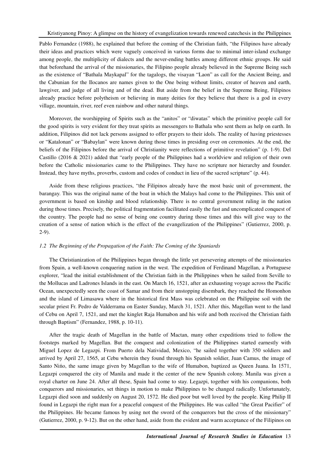Pablo Fernandez (1988), he explained that before the coming of the Christian faith, "the Filipinos have already their ideas and practices which were vaguely conceived in various forms due to minimal inter-island exchange among people, the multiplicity of dialects and the never-ending battles among different ethnic groups. He said that beforehand the arrival of the missionaries, the Filipino people already believed in the Supreme Being such as the existence of "Bathala Maykapal" for the tagalogs, the visayan "Laon" as call for the Ancient Being, and the Cabunian for the Ilocanos are names given to the One being without limits, creator of heaven and earth, lawgiver, and judge of all living and of the dead. But aside from the belief in the Supreme Being, Filipinos already practice before polytheism or believing in many deities for they believe that there is a god in every village, mountain, river, reef even rainbow and other natural things.

Moreover, the worshipping of Spirits such as the "anitos" or "diwatas" which the primitive people call for the good spirits is very evident for they treat spirits as messengers to Bathala who sent them as help on earth. In addition, Filipinos did not lack persons assigned to offer prayers to their idols. The reality of having priestesses or "Katalonan" or "Babaylan" were known during those times in presiding over on ceremonies. At the end, the beliefs of the Filipinos before the arrival of Christianity were reflections of primitive revelation" (p. 1-9). Del Castillo (2016 & 2021) added that "early people of the Philippines had a worldview and religion of their own before the Catholic missionaries came to the Philippines. They have no scripture nor hierarchy and founder. Instead, they have myths, proverbs, custom and codes of conduct in lieu of the sacred scripture" (p. 44).

Aside from these religious practices, "the Filipinos already have the most basic unit of government, the barangay. This was the original name of the boat in which the Malays had come to the Philippines. This unit of government is based on kinship and blood relationship. There is no central government ruling in the nation during those times. Precisely, the political fragmentation facilitated easily the fast and uncomplicated conquest of the country. The people had no sense of being one country during those times and this will give way to the creation of a sense of nation which is the effect of the evangelization of the Philippines" (Gutierrez, 2000, p. 2-9).

# *1.2 The Beginning of the Propagation of the Faith: The Coming of the Spaniards*

The Christianization of the Philippines began through the little yet persevering attempts of the missionaries from Spain, a well-known conquering nation in the west. The expedition of Ferdinand Magellan, a Portuguese explorer, "lead the initial establishment of the Christian faith in the Philippines when he sailed from Seville to the Mollucas and Ladrones Islands in the east. On March 16, 1521, after an exhausting voyage across the Pacific Ocean, unexpectedly seen the coast of Samar and from their unstopping disembark, they reached the Homonhon and the island of Limasawa where in the historical first Mass was celebrated on the Philippine soil with the secular priest Fr. Pedro de Valderrama on Easter Sunday, March 31, 1521. After this, Magellan went to the land of Cebu on April 7, 1521, and met the kinglet Raja Humabon and his wife and both received the Christian faith through Baptism" (Fernandez, 1988, p. 10-11).

After the tragic death of Magellan in the battle of Mactan, many other expeditions tried to follow the footsteps marked by Magellan. But the conquest and colonization of the Philippines started earnestly with Miguel Lopez de Legazpi. From Puerto dela Natividad, Mexico, "he sailed together with 350 soldiers and arrived by April 27, 1565, at Cebu wherein they found through his Spanish soldier, Juan Camus, the image of Santo Nińo, the same image given by Magellan to the wife of Humabon, baptized as Queen Juana. In 1571, Legazpi conquered the city of Manila and made it the center of the new Spanish colony. Manila was given a royal charter on June 24. After all these, Spain had come to stay. Legazpi, together with his companions, both conquerors and missionaries, set things in motion to make Philippines to be changed radically. Unfortunately, Legazpi died soon and suddenly on August 20, 1572. He died poor but well loved by the people. King Philip II found in Legazpi the right man for a peaceful conquest of the Philippines. He was called "the Great Pacifier" of the Philippines. He became famous by using not the sword of the conquerors but the cross of the missionary" (Gutierrez, 2000, p. 9-12). But on the other hand, aside from the evident and warm acceptance of the Filipinos on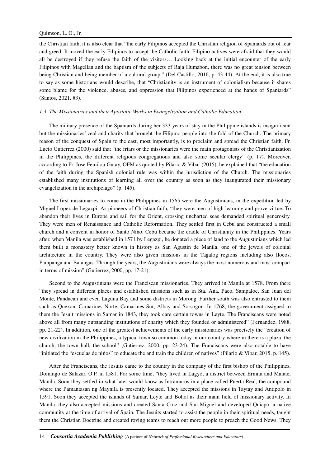the Christian faith, it is also clear that "the early Filipinos accepted the Christian religion of Spaniards out of fear and greed. It moved the early Filipinos to accept the Catholic faith. Filipino natives were afraid that they would all be destroyed if they refuse the faith of the visitors… Looking back at the initial encounter of the early Filipinos with Magellan and the baptism of the subjects of Raja Humabon, there was no great tension between being Christian and being member of a cultural group." (Del Castillo, 2016, p. 43-44). At the end, it is also true to say as some historians would describe, that "Christianity is an instrument of colonialism because it shares some blame for the violence, abuses, and oppression that Filipinos experienced at the hands of Spaniards" (Santos, 2021, #3).

#### *1.3 The Missionaries and their Apostolic Works in Evangelization and Catholic Education*

The military presence of the Spaniards during her 333 years of stay in the Philippine islands is insignificant but the missionaries' zeal and charity that brought the Filipino people into the fold of the Church. The primary reason of the conquest of Spain to the east, most importantly, is to proclaim and spread the Christian faith. Fr. Lucio Gutierrez (2000) said that "the friars or the missionaries were the main protagonists of the Christianization in the Philippines, the different religious congregations and also some secular clergy" (p. 17). Moreover, according to Fr. Jose Femilou Gutay, OFM as quoted by Pilario & Vibar (2015), he explained that "the education of the faith during the Spanish colonial rule was within the jurisdiction of the Church. The missionaries established many institutions of learning all over the country as soon as they inaugurated their missionary evangelization in the archipelago" (p. 145).

The first missionaries to come in the Philippines in 1565 were the Augustinians, in the expedition led by Miguel Lopez de Legazpi. As pioneers of Christian faith, "they were men of high learning and prove virtue. To abandon their lives in Europe and sail for the Orient, crossing uncharted seas demanded spiritual generosity. They were men of Renaissance and Catholic Reformation. They settled first in Cebu and constructed a small church and a convent in honor of Santo Nińo. Cebu became the cradle of Christianity in the Philippines. Years after, when Manila was established in 1571 by Legazpi, he donated a piece of land to the Augustinians which led them built a monastery better known in history as San Agustin de Manila, one of the jewels of colonial architecture in the country. They were also given missions in the Tagalog regions including also Ilocos, Pampanga and Batangas. Through the years, the Augustinians were always the most numerous and most compact in terms of mission" (Gutierrez, 2000, pp. 17-21).

Second to the Augustinians were the Franciscan missionaries. They arrived in Manila at 1578. From there "they spread in different places and established missions such as in Sta. Ana, Paco, Sampaloc, San Juan del Monte, Pandacan and even Laguna Bay and some districts in Morong. Further south was also entrusted to them such as Quezon, Camarines Norte, Camarines Sur, Albay and Sorsogon. In 1768, the government assigned to them the Jesuit missions in Samar in 1843, they took care certain towns in Leyte. The Franciscans were noted above all from many outstanding institutions of charity which they founded or administered" (Fernandez, 1988, pp. 21-22). In addition, one of the greatest achievements of the early missionaries was precisely the "creation of new civilization in the Philippines, a typical town so common today in our country where in there is a plaza, the church, the town hall, the school" (Gutierrez, 2000, pp. 23-24). The Franciscans were also notable to have "initiated the "escuelas de nińos" to educate the and train the children of natives" (Pilario & Vibar, 2015, p. 145).

After the Franciscans, the Jesuits came to the country in the company of the first bishop of the Philippines, Domingo de Salazar, O.P. in 1581. For some time, "they lived in Lagyo, a district between Ermita and Malate, Manila. Soon they settled in what later would know as Intramuros in a place called Puerta Real, the compound where the Pamantasan ng Maynila is presently located. They accepted the missions in Taytay and Antipolo in 1591. Soon they accepted the islands of Samar, Leyte and Bohol as their main field of missionary activity. In Manila, they also accepted missions and created Santa Cruz and San Miguel and developed Quiapo, a native community at the time of arrival of Spain. The Jesuits started to assist the people in their spiritual needs, taught them the Christian Doctrine and created roving teams to reach out more people to preach the Good News. They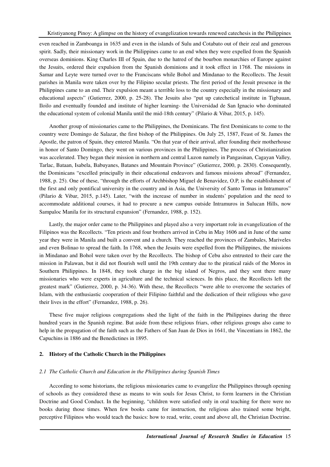even reached in Zamboanga in 1635 and even in the islands of Sulu and Cotabato out of their zeal and generous spirit. Sadly, their missionary work in the Philippines came to an end when they were expelled from the Spanish overseas dominions. King Charles III of Spain, due to the hatred of the bourbon monarchies of Europe against the Jesuits, ordered their expulsion from the Spanish dominions and it took effect in 1768. The missions in Samar and Leyte were turned over to the Franciscans while Bohol and Mindanao to the Recollects. The Jesuit parishes in Manila were taken over by the Filipino secular priests. The first period of the Jesuit presence in the Philippines came to an end. Their expulsion meant a terrible loss to the country especially in the missionary and educational aspects" (Gutierrez, 2000, p. 25-28). The Jesuits also "put up catechetical institute in Tigbauan, Iloilo and eventually founded and institute of higher learning- the Universidad de San Ignacio who dominated the educational system of colonial Manila until the mid-18th century" (Pilario & Vibar, 2015, p. 145).

Another group of missionaries came to the Philippines, the Dominicans. The first Dominicans to come to the country were Domingo de Salazar, the first bishop of the Philippines. On July 25, 1587, Feast of St. James the Apostle, the patron of Spain, they entered Manila. "On that year of their arrival, after founding their motherhouse in honor of Santo Domingo, they went on various provinces in the Philippines. The process of Christianization was accelerated. They began their mission in northern and central Luzon namely in Pangasinan, Cagayan Valley, Tarlac, Bataan, Isabela, Babuyanes, Batanes and Mountain Province" (Gutierrez, 2000, p. 2830). Consequently, the Dominicans "excelled principally in their educational endeavors and famous missions abroad" (Fernandez, 1988, p. 25). One of these, "through the efforts of Archbishop Miguel de Benavidez, O.P, is the establishment of the first and only pontifical university in the country and in Asia, the University of Santo Tomas in Intramuros" (Pilario & Vibar, 2015, p.145). Later, "with the increase of number in students' population and the need to accommodate additional courses, it had to procure a new campus outside Intramuros in Sulucan Hills, now Sampaloc Manila for its structural expansion" (Fernandez, 1988, p. 152).

Lastly, the major order came to the Philippines and played also a very important role in evangelization of the Filipinos was the Recollects. "Ten priests and four brothers arrived in Cebu in May 1606 and in June of the same year they were in Manila and built a convent and a church. They reached the provinces of Zambales, Mariveles and even Bolinao to spread the faith. In 1768, when the Jesuits were expelled from the Philippines, the missions in Mindanao and Bohol were taken over by the Recollects. The bishop of Cebu also entrusted to their care the mission in Palawan, but it did not flourish well until the 19th century due to the piratical raids of the Moros in Southern Philippines. In 1848, they took charge in the big island of Negros, and they sent there many missionaries who were experts in agriculture and the technical sciences. In this place, the Recollects left the greatest mark" (Gutierrez, 2000, p. 34-36). With these, the Recollects "were able to overcome the sectaries of Islam, with the enthusiastic cooperation of their Filipino faithful and the dedication of their religious who gave their lives in the effort" (Fernandez, 1988, p. 26).

These five major religious congregations shed the light of the faith in the Philippines during the three hundred years in the Spanish regime. But aside from these religious friars, other religious groups also came to help in the propagation of the faith such as the Fathers of San Juan de Dios in 1641, the Vincentians in 1862, the Capuchins in 1886 and the Benedictines in 1895.

# **2. History of the Catholic Church in the Philippines**

#### *2.1 The Catholic Church and Education in the Philippines during Spanish Times*

According to some historians, the religious missionaries came to evangelize the Philippines through opening of schools as they considered these as means to win souls for Jesus Christ, to form learners in the Christian Doctrine and Good Conduct. In the beginning, "children were satisfied only in oral teaching for there were no books during those times. When few books came for instruction, the religious also trained some bright, perceptive Filipinos who would teach the basics: how to read, write, count and above all, the Christian Doctrine.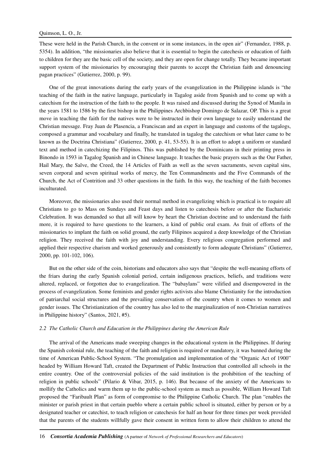These were held in the Parish Church, in the convent or in some instances, in the open air" (Fernandez, 1988, p. 5354). In addition, "the missionaries also believe that it is essential to begin the catechesis or education of faith to children for they are the basic cell of the society, and they are open for change totally. They became important support system of the missionaries by encouraging their parents to accept the Christian faith and denouncing pagan practices" (Gutierrez, 2000, p. 99).

One of the great innovations during the early years of the evangelization in the Philippine islands is "the teaching of the faith in the native language, particularly in Tagalog aside from Spanish and to come up with a catechism for the instruction of the faith to the people. It was raised and discussed during the Synod of Manila in the years 1581 to 1586 by the first bishop in the Philippines Archbishop Domingo de Salazar, OP. This is a great move in teaching the faith for the natives were to be instructed in their own language to easily understand the Christian message. Fray Juan de Plasencia, a Franciscan and an expert in language and customs of the tagalogs, composed a grammar and vocabulary and finally, he translated in tagalog the catechism or what later came to be known as the Doctrina Christiana" (Gutierrez, 2000, p. 41, 53-55). It is an effort to adopt a uniform or standard text and method in catechizing the Filipinos. This was published by the Dominicans in their printing press in Binondo in 1593 in Tagalog Spanish and in Chinese language. It teaches the basic prayers such as the Our Father, Hail Mary, the Salve, the Creed, the 14 Articles of Faith as well as the seven sacraments, seven capital sins, seven corporal and seven spiritual works of mercy, the Ten Commandments and the Five Commands of the Church, the Act of Contrition and 33 other questions in the faith. In this way, the teaching of the faith becomes inculturated.

Moreover, the missionaries also used their normal method in evangelizing which is practical is to require all Christians to go to Mass on Sundays and Feast days and listen to catechesis before or after the Eucharistic Celebration. It was demanded so that all will know by heart the Christian doctrine and to understand the faith more, it is required to have questions to the learners, a kind of public oral exam. As fruit of efforts of the missionaries to implant the faith on solid ground, the early Filipinos acquired a deep knowledge of the Christian religion. They received the faith with joy and understanding. Every religious congregation performed and applied their respective charism and worked generously and consistently to form adequate Christians" (Gutierrez, 2000, pp. 101-102, 106).

But on the other side of the coin, historians and educators also says that "despite the well-meaning efforts of the friars during the early Spanish colonial period, certain indigenous practices, beliefs, and traditions were altered, replaced, or forgotten due to evangelization. The "babaylans" were vilified and disempowered in the process of evangelization. Some feminists and gender rights activists also blame Christianity for the introduction of patriarchal social structures and the prevailing conservatism of the country when it comes to women and gender issues. The Christianization of the country has also led to the marginalization of non-Christian narratives in Philippine history" (Santos, 2021, #5).

#### *2.2 The Catholic Church and Education in the Philippines during the American Rule*

The arrival of the Americans made sweeping changes in the educational system in the Philippines. If during the Spanish colonial rule, the teaching of the faith and religion is required or mandatory, it was banned during the time of American Public-School System. "The promulgation and implementation of the "Organic Act of 1900" headed by William Howard Taft, created the Department of Public Instruction that controlled all schools in the entire country. One of the controversial policies of the said institution is the prohibition of the teaching of religion in public schools" (Pilario & Vibar, 2015, p. 146). But because of the anxiety of the Americans to mollify the Catholics and warm them up to the public-school system as much as possible, William Howard Taft proposed the "Faribault Plan" as form of compromise to the Philippine Catholic Church. The plan "enables the minister or parish priest in that certain pueblo where a certain public school is situated, either by person or by a designated teacher or catechist, to teach religion or catechesis for half an hour for three times per week provided that the parents of the students willfully gave their consent in written form to allow their children to attend the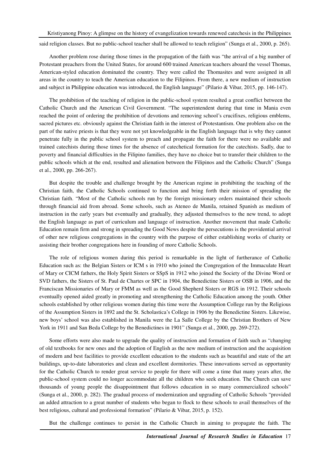said religion classes. But no public-school teacher shall be allowed to teach religion" (Sunga et al., 2000, p. 265).

Another problem rose during those times in the propagation of the faith was "the arrival of a big number of Protestant preachers from the United States, for around 600 trained American teachers aboard the vessel Thomas, American-styled education dominated the country. They were called the Thomasites and were assigned in all areas in the country to teach the American education to the Filipinos. From there, a new medium of instruction and subject in Philippine education was introduced, the English language" (Pilario & Vibar, 2015, pp. 146-147).

The prohibition of the teaching of religion in the public-school system resulted a great conflict between the Catholic Church and the American Civil Government. "The superintendent during that time in Mania even reached the point of ordering the prohibition of devotions and removing school's crucifixes, religious emblems, sacred pictures etc. obviously against the Christian faith in the interest of Protestantism. One problem also on the part of the native priests is that they were not yet knowledgeable in the English language that is why they cannot penetrate fully in the public school system to preach and propagate the faith for there were no available and trained catechists during those times for the absence of catechetical formation for the catechists. Sadly, due to poverty and financial difficulties in the Filipino families, they have no choice but to transfer their children to the public schools which at the end, resulted and alienation between the Filipinos and the Catholic Church" (Sunga et al., 2000, pp. 266-267).

But despite the trouble and challenge brought by the American regime in prohibiting the teaching of the Christian faith, the Catholic Schools continued to function and bring forth their mission of spreading the Christian faith. "Most of the Catholic schools run by the foreign missionary orders maintained their schools through financial aid from abroad. Some schools, such as Ateneo de Manila, retained Spanish as medium of instruction in the early years but eventually and gradually, they adjusted themselves to the new trend, to adopt the English language as part of curriculum and language of instruction. Another movement that made Catholic Education remain firm and strong in spreading the Good News despite the persecutions is the providential arrival of other new religious congregations in the country with the purpose of either establishing works of charity or assisting their brother congregations here in founding of more Catholic Schools.

The role of religious women during this period is remarkable in the light of furtherance of Catholic Education such as: the Belgian Sisters or ICM s in 1910 who joined the Congregation of the Immaculate Heart of Mary or CICM fathers, the Holy Spirit Sisters or SSpS in 1912 who joined the Society of the Divine Word or SVD fathers, the Sisters of St. Paul de Chartes or SPC in 1904, the Benedictine Sisters or OSB in 1906, and the Franciscan Missionaries of Mary or FMM as well as the Good Shepherd Sisters or RGS in 1912. Their schools eventually opened aided greatly in promoting and strengthening the Catholic Education among the youth. Other schools established by other religious women during this time were the Assumption College run by the Religious of the Assumption Sisters in 1892 and the St. Scholastica's College in 1906 by the Benedictine Sisters. Likewise, new boys' school was also established in Manila were the La Salle College by the Christian Brothers of New York in 1911 and San Beda College by the Benedictines in 1901" (Sunga et al., 2000, pp. 269-272).

Some efforts were also made to upgrade the quality of instruction and formation of faith such as "changing of old textbooks for new ones and the adoption of English as the new medium of instruction and the acquisition of modern and best facilities to provide excellent education to the students such as beautiful and state of the art buildings, up-to-date laboratories and clean and excellent dormitories. These innovations served as opportunity for the Catholic Church to render great service to people for there will come a time that many years after, the public-school system could no longer accommodate all the children who seek education. The Church can save thousands of young people the disappointment that follows education in so many commercialized schools" (Sunga et al., 2000, p. 282). The gradual process of modernization and upgrading of Catholic Schools "provided an added attraction to a great number of students who began to flock to these schools to avail themselves of the best religious, cultural and professional formation" (Pilario & Vibar, 2015, p. 152).

But the challenge continues to persist in the Catholic Church in aiming to propagate the faith. The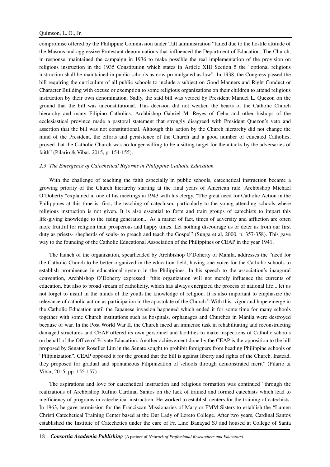compromise offered by the Philippine Commission under Taft administration "failed due to the hostile attitude of the Masons and aggressive Protestant denominations that influenced the Department of Education. The Church, in response, maintained the campaign in 1936 to make possible the real implementation of the provision on religious instruction in the 1935 Constitution which states in Article XIII Section 5 the "optional religious instruction shall be maintained in public schools as now promulgated as law". In 1938, the Congress passed the bill requiring the curriculum of all public schools to include a subject on Good Manners and Right Conduct or Character Building with excuse or exemption to some religious organizations on their children to attend religious instruction by their own denomination. Sadly, the said bill was vetoed by President Manuel L. Quezon on the ground that the bill was unconstitutional. This decision did not weaken the hearts of the Catholic Church hierarchy and many Filipino Catholics. Archbishop Gabriel M. Reyes of Cebu and other bishops of the ecclesiastical province made a pastoral statement that strongly disagreed with President Quezon's veto and assertion that the bill was not constitutional. Although this action by the Church hierarchy did not change the mind of the President, the efforts and persistence of the Church and a good number of educated Catholics, proved that the Catholic Church was no longer willing to be a sitting target for the attacks by the adversaries of faith" (Pilario & Vibar, 2015, p. 154-155).

# *2.3 The Emergence of Catechetical Reforms in Philippine Catholic Education*

With the challenge of teaching the faith especially in public schools, catechetical instruction became a growing priority of the Church hierarchy starting at the final years of American rule. Archbishop Michael O'Doherty "explained in one of his meetings in 1943 with his clergy, "The great need for Catholic Action in the Philippines at this time is: first, the teaching of catechism, particularly to the young attending schools where religious instruction is not given. It is also essential to form and train groups of catechists to impart this life-giving knowledge to the rising generation... As a matter of fact, times of adversity and affliction are often more fruitful for religion than prosperous and happy times. Let nothing discourage us or deter us from our first duty as priests- shepherds of souls- to preach and teach the Gospel" (Sunga et al, 2000, p. 357-358). This gave way to the founding of the Catholic Educational Association of the Philippines or CEAP in the year 1941.

The launch of the organization, spearheaded by Archbishop O'Doherty of Manila, addresses the "need for the Catholic Church to be better organized in the education field, having one voice for the Catholic schools to establish prominence in educational system in the Philippines. In his speech to the association's inaugural convention, Archbishop O'Doherty expressed: "this organization will not merely influence the currents of education, but also to broad stream of catholicity, which has always energized the process of national life... let us not forget to instill in the minds of the youth the knowledge of religion. It is also important to emphasize the relevance of catholic action as participation in the apostolate of the Church." With this, vigor and hope emerge in the Catholic Education until the Japanese invasion happened which ended it for some time for many schools together with some Church institutions such as hospitals, orphanages and Churches in Manila were destroyed because of war. In the Post World War II, the Church faced an immense task in rehabilitating and reconstructing damaged structures and CEAP offered its own personnel and facilities to make inspections of Catholic schools on behalf of the Office of Private Education. Another achievement done by the CEAP is the opposition to the bill proposed by Senator Roseller Lim in the Senate sought to prohibit foreigners from heading Philippine schools or "Filipinization". CEAP opposed it for the ground that the bill is against liberty and rights of the Church. Instead, they proposed for gradual and spontaneous Filipinization of schools through demonstrated merit" (Pilario & Vibar, 2015, pp. 155-157).

The aspirations and love for catechetical instruction and religious formation was continued "through the realizations of Archbishop Rufino Cardinal Santos on the lack of trained and formed catechists which lead to inefficiency of programs in catechetical instruction. He worked to establish centers for the training of catechists. In 1963, he gave permission for the Franciscan Missionaries of Mary or FMM Sisters to establish the "Lumen Christi Catechetical Training Center based at the Our Lady of Loreto College. After two years, Cardinal Santos established the Institute of Catechetics under the care of Fr. Lino Banayad SJ and housed at College of Santa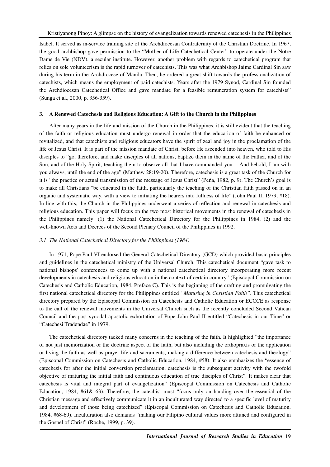Isabel. It served as in-service training site of the Archdiocesan Confraternity of the Christian Doctrine. In 1967, the good archbishop gave permission to the "Mother of Life Catechetical Center" to operate under the Notre Dame de Vie (NDV), a secular institute. However, another problem with regards to catechetical program that relies on sole volunteerism is the rapid turnover of catechists. This was what Archbishop Jaime Cardinal Sin saw during his term in the Archdiocese of Manila. Then, he ordered a great shift towards the professionalization of catechists, which means the employment of paid catechists. Years after the 1979 Synod, Cardinal Sin founded the Archdiocesan Catechetical Office and gave mandate for a feasible remuneration system for catechists" (Sunga et al., 2000, p. 356-359).

# **3. A Renewed Catechesis and Religious Education: A Gift to the Church in the Philippines**

After many years in the life and mission of the Church in the Philippines, it is still evident that the teaching of the faith or religious education must undergo renewal in order that the education of faith be enhanced or revitalized, and that catechists and religious educators have the spirit of zeal and joy in the proclamation of the life of Jesus Christ. It is part of the mission mandate of Christ, before He ascended into heaven, who told to His disciples to "go, therefore, and make disciples of all nations, baptize them in the name of the Father, and of the Son, and of the Holy Spirit, teaching them to observe all that I have commanded you. And behold, I am with you always, until the end of the age" (Matthew 28:19-20). Therefore, catechesis is a great task of the Church for it is "the practice or actual transmission of the message of Jesus Christ" (Peńa, 1982, p. 9). The Church's goal is to make all Christians "be educated in the faith, particularly the teaching of the Christian faith passed on in an organic and systematic way, with a view to initiating the hearers into fullness of life" (John Paul II, 1979, #18). In line with this, the Church in the Philippines underwent a series of reflection and renewal in catechesis and religious education. This paper will focus on the two most historical movements in the renewal of catechesis in the Philippines namely: (1) the National Catechetical Directory for the Philippines in 1984, (2) and the well-known Acts and Decrees of the Second Plenary Council of the Philippines in 1992.

# *3.1 The National Catechetical Directory for the Philippines (1984)*

In 1971, Pope Paul VI endorsed the General Catechetical Directory (GCD) which provided basic principles and guidelines in the catechetical ministry of the Universal Church. This catechetical document "gave task to national bishops' conferences to come up with a national catechetical directory incorporating more recent developments in catechesis and religious education in the context of certain country" (Episcopal Commission on Catechesis and Catholic Education, 1984, Preface C). This is the beginning of the crafting and promulgating the first national catechetical directory for the Philippines entitled *"Maturing in Christian Faith"*. This catechetical directory prepared by the Episcopal Commission on Catechesis and Catholic Education or ECCCE as response to the call of the renewal movements in the Universal Church such as the recently concluded Second Vatican Council and the post synodal apostolic exhortation of Pope John Paul II entitled "Catechesis in our Time" or "Catechesi Tradendae" in 1979.

The catechetical directory tacked many concerns in the teaching of the faith. It highlighted "the importance of not just memorization or the doctrine aspect of the faith, but also including the orthopraxis or the application or living the faith as well as prayer life and sacraments, making a difference between catechesis and theology" (Episcopal Commission on Catechesis and Catholic Education, 1984, #58). It also emphasizes the "essence of catechesis for after the initial conversion proclamation, catechesis is the subsequent activity with the twofold objective of maturing the initial faith and continuous education of true disciples of Christ". It makes clear that catechesis is vital and integral part of evangelization" (Episcopal Commission on Catechesis and Catholic Education, 1984, #61& 63). Therefore, the catechist must "focus only on handing over the essential of the Christian message and effectively communicate it in an inculturated way directed to a specific level of maturity and development of those being catechized" (Episcopal Commission on Catechesis and Catholic Education, 1984, #68-69). Inculturation also demands "making our Filipino cultural values more attuned and configured in the Gospel of Christ" (Roche, 1999, p. 39).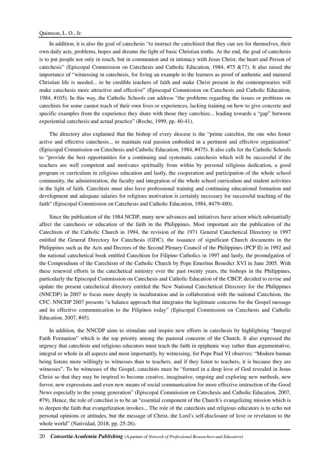In addition, it is also the goal of catechesis "to instruct the catechized that they can see for themselves, their own daily acts, problems, hopes and dreams the light of basic Christian truths. At the end, the goal of catechesis is to put people not only in touch, but in communion and in intimacy with Jesus Christ, the heart and Person of catechesis" (Episcopal Commission on Catechesis and Catholic Education, 1984, #75 &77). It also raised the importance of "witnessing in catechesis, for living an example to the learners as proof of authentic and matured Christian life is needed... to be credible teachers of faith and make Christ present in the contemporaries will make catechesis more attractive and effective" (Episcopal Commission on Catechesis and Catholic Education, 1984, #105). In this way, the Catholic Schools can address "the problems regarding the issues or problems on catechists for some cannot teach of their own lives or experiences, lacking training on how to give concrete and specific examples from the experience they share with those they catechize... leading towards a "gap" between experiential catechesis and actual practice" (Roche, 1999, pp. 40-41).

The directory also explained that the bishop of every diocese is the "prime catechist, the one who foster active and effective catechesis... to maintain real passion embodied in a pertinent and effective organization" (Episcopal Commission on Catechesis and Catholic Education, 1984, #475). It also calls for the Catholic Schools to "provide the best opportunities for a continuing and systematic catechesis which will be successful if the teachers are well competent and motivates spiritually from within by personal religious dedication, a good program or curriculum in religious education and lastly, the cooperation and participation of the whole school community, the administration, the faculty and integration of the whole school curriculum and student activities in the light of faith. Catechists must also have professional training and continuing educational formation and development and adequate salaries for religious motivation is certainly necessary for successful teaching of the faith" (Episcopal Commission on Catechesis and Catholic Education, 1984, #479-480).

Since the publication of the 1984 NCDP, many new advances and initiatives have arisen which substantially affect the catechesis or education of the faith in the Philippines. Most important are the publication of the Catechism of the Catholic Church in 1994, the revision of the 1971 General Catechetical Directory in 1997 entitled the General Directory for Catechesis (GDC), the issuance of significant Church documents in the Philippines such as the Acts and Decrees of the Second Plenary Council of the Philippines (PCP II) in 1992 and the national catechetical book entitled Catechism for Filipino Catholics in 1997 and lastly, the promulgation of the Compendium of the Catechism of the Catholic Church by Pope Emeritus Benedict XVI in June 2005. With these renewed efforts in the catechetical ministry over the past twenty years, the bishops in the Philippines, particularly the Episcopal Commission on Catechesis and Catholic Education of the CBCP, decided to revise and update the present catechetical directory entitled the New National Catechetical Directory for the Philippines (NNCDP) in 2007 to focus more deeply in inculturation and in collaboration with the national Catechism, the CFC. NNCDP 2007 presents "a balance approach that integrates the legitimate concerns for the Gospel message and its effective communication to the Filipinos today" (Episcopal Commission on Catechesis and Catholic Education, 2007, #45).

In addition, the NNCDP aims to stimulate and inspire new efforts in catechesis by highlighting "Integral Faith Formation" which is the top priority among the pastoral concerns of the Church. It also expressed the urgency that catechists and religious educators must teach the faith in epiphanic way rather than argumentative, integral or whole in all aspects and most importantly, by witnessing, for Pope Paul VI observes: "Modern human being listens more willingly to witnesses than to teachers, and if they listen to teachers, it is because they are witnesses". To be witnesses of the Gospel, catechists must be "formed in a deep love of God revealed in Jesus Christ so that they may be inspired to become creative, imaginative, ongoing and exploring new methods, new fervor, new expressions and even new means of social communication for more effective instruction of the Good News especially to the young generation" (Episcopal Commission on Catechesis and Catholic Education, 2007, #79). Hence, the role of catechist is to be an "essential component of the Church's evangelizing mission which is to deepen the faith that evangelization invokes... The role of the catechists and religious educators is to echo not personal opinions or attitudes, but the message of Christ, the Lord's self-disclosure of love or revelation to the whole world" (Natividad, 2018, pp. 25-26).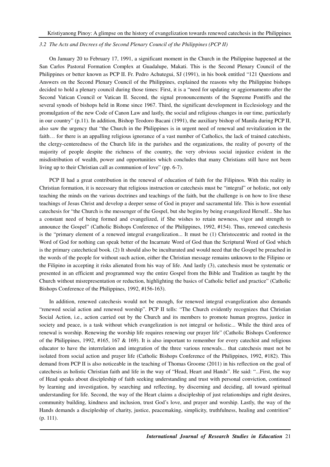# *3.2 The Acts and Decrees of the Second Plenary Council of the Philippines (PCP II)*

On January 20 to February 17, 1991, a significant moment in the Church in the Philippine happened at the San Carlos Pastoral Formation Complex at Guadalupe, Makati. This is the Second Plenary Council of the Philippines or better known as PCP II. Fr. Pedro Achutegui, SJ (1991), in his book entitled "121 Questions and Answers on the Second Plenary Council of the Philippines, explained the reasons why the Philippine bishops decided to hold a plenary council during those times: First, it is a "need for updating or aggiornamento after the Second Vatican Council or Vatican II. Second, the signal pronouncements of the Supreme Pontiffs and the several synods of bishops held in Rome since 1967. Third, the significant development in Ecclesiology and the promulgation of the new Code of Canon Law and lastly, the social and religious changes in our time, particularly in our country" (p.11). In addition, Bishop Teodoro Bacani (1991), the auxiliary bishop of Manila during PCP II, also saw the urgency that "the Church in the Philippines is in urgent need of renewal and revitalization in the faith... for there is an appalling religious ignorance of a vast number of Catholics, the lack of trained catechists, the clergy-centeredness of the Church life in the parishes and the organizations, the reality of poverty of the majority of people despite the richness of the country, the very obvious social injustice evident in the misdistribution of wealth, power and opportunities which concludes that many Christians still have not been living up to their Christian call as communion of love" (pp. 6-7).

PCP II had a great contribution in the renewal of education of faith for the Filipinos. With this reality in Christian formation, it is necessary that religious instruction or catechesis must be "integral" or holistic, not only teaching the minds on the various doctrines and teachings of the faith, but the challenge is on how to live these teachings of Jesus Christ and develop a deeper sense of God in prayer and sacramental life. This is how essential catechesis for "the Church is the messenger of the Gospel, but she begins by being evangelized Herself... She has a constant need of being formed and evangelized, if She wishes to retain newness, vigor and strength to announce the Gospel" (Catholic Bishops Conference of the Philippines, 1992, #154). Thus, renewed catechesis is the "primary element of a renewed integral evangelization... It must be (1) Christocentric and rooted in the Word of God for nothing can speak better of the Incarnate Word of God than the Scriptural Word of God which is the primary catechetical book. (2) It should also be inculturated and would need that the Gospel be preached in the words of the people for without such action, either the Christian message remains unknown to the Filipino or the Filipino in accepting it risks alienated from his way of life. And lastly (3), catechesis must be systematic or presented in an efficient and programmed way the entire Gospel from the Bible and Tradition as taught by the Church without misrepresentation or reduction, highlighting the basics of Catholic belief and practice" (Catholic Bishops Conference of the Philippines, 1992, #156-163).

In addition, renewed catechesis would not be enough, for renewed integral evangelization also demands "renewed social action and renewed worship". PCP II tells: "The Church evidently recognizes that Christian Social Action, i.e., action carried out by the Church and its members to promote human progress, justice in society and peace, is a task without which evangelization is not integral or holistic... While the third area of renewal is worship. Renewing the worship life requires renewing our prayer life" (Catholic Bishops Conference of the Philippines, 1992, #165, 167 & 169). It is also important to remember for every catechist and religious educator to have the interrelation and integration of the three various renewals... that catechesis must not be isolated from social action and prayer life (Catholic Bishops Conference of the Philippines, 1992, #182). This demand from PCP II is also noticeable in the teaching of Thomas Groome (2011) in his reflection on the goal of catechesis as holistic Christian faith and life in the way of "Head, Heart and Hands". He said: "...First, the way of Head speaks about discipleship of faith seeking understanding and trust with personal conviction, continued by learning and investigation, by searching and reflecting, by discerning and deciding, all toward spiritual understanding for life. Second, the way of the Heart claims a discipleship of just relationships and right desires, community building, kindness and inclusion, trust God's love, and prayer and worship. Lastly, the way of the Hands demands a discipleship of charity, justice, peacemaking, simplicity, truthfulness, healing and contrition" (p. 111).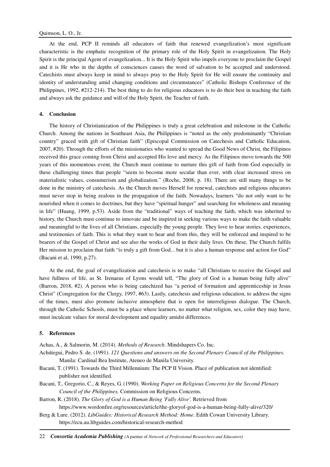At the end, PCP II reminds all educators of faith that renewed evangelization's most significant characteristic is the emphatic recognition of the primary role of the Holy Spirit in evangelization. The Holy Spirit is the principal Agent of evangelization... It is the Holy Spirit who impels everyone to proclaim the Gospel and it is He who in the depths of consciences causes the word of salvation to be accepted and understood. Catechists must always keep in mind to always pray to the Holy Spirit for He will ensure the continuity and identity of understanding amid changing conditions and circumstances" (Catholic Bishops Conference of the Philippines, 1992, #212-214). The best thing to do for religious educators is to do their best in teaching the faith and always ask the guidance and will of the Holy Spirit, the Teacher of faith.

# **4. Conclusion**

The history of Christianization of the Philippines is truly a great celebration and milestone in the Catholic Church. Among the nations in Southeast Asia, the Philippines is "noted as the only predominantly "Christian country" graced with gift of Christian faith" (Episcopal Commission on Catechesis and Catholic Education, 2007, #20). Through the efforts of the missionaries who wanted to spread the Good News of Christ, the Filipinos received this grace coming from Christ and accepted His love and mercy. As the Filipinos move towards the 500 years of this momentous event, the Church must continue to nurture this gift of faith from God especially in these challenging times that people "seem to become more secular than ever, with clear increased stress on materialistic values, consumerism and globalization." (Roche, 2008, p. 18). There are still many things to be done in the ministry of catechesis. As the Church moves Herself for renewal, catechists and religious educators must never stop in being zealous in the propagation of the faith. Nowadays, learners "do not only want to be nourished when it comes to doctrines, but they have "spiritual hunger" and searching for wholeness and meaning in life" (Huang, 1999, p.53). Aside from the "traditional" ways of teaching the faith, which was inherited to history, the Church must continue to innovate and be inspired in seeking various ways to make the faith valuable and meaningful to the lives of all Christians, especially the young people. They love to hear stories, experiences, and testimonies of faith. This is what they want to hear and from this, they will be enforced and inspired to be bearers of the Gospel of Christ and see also the works of God in their daily lives. On these, The Church fulfils Her mission to proclaim that faith "is truly a gift from God... but it is also a human response and action for God" (Bacani et al, 1990, p.27).

At the end, the goal of evangelization and catechesis is to make "all Christians to receive the Gospel and have fullness of life, as St. Irenaeus of Lyons would tell, "The glory of God is a human being fully alive" (Barron, 2018, #2). A person who is being catechized has "a period of formation and apprenticeship in Jesus Christ" (Congregation for the Clergy, 1997, #63). Lastly, catechesis and religious education, to address the signs of the times, must also promote inclusive atmosphere that is open for interreligious dialogue. The Church, through the Catholic Schools, must be a place where learners, no matter what religion, sex, color they may have, must inculcate values for moral development and equality amidst differences.

#### **5. References**

Achas, A., & Salmorin, M. (2014). *Methods of Research*. Mindshapers Co. Inc.

Achútegui, Pedro S. de. (1991). *121 Questions and answers on the Second Plenary Council of the Philippines*. Manila: Cardinal Bea Institute, Ateneo de Manila University.

- Bacani, T. (1991). Towards the Third Millennium: The PCP II Vision. Place of publication not identified: publisher not identified.
- Bacani, T., Gregorio, C., & Reyes, G. (1990). *Working Paper on Religious Concerns for the Second Plenary Council of the Philippines.* Commission on Religious Concerns.

Barron, R. (2018). *The Glory of God is a Human Being 'Fully Alive'.* Retrieved from https://www.wordonfire.org/resources/article/the-gloryof-god-is-a-human-being-fully-alive/320/

Berg & Lure. (2012). *LibGuides: Historical Research Method: Home*. Edith Cowan University Library. https://ecu.au.libguides.com/historical-research-method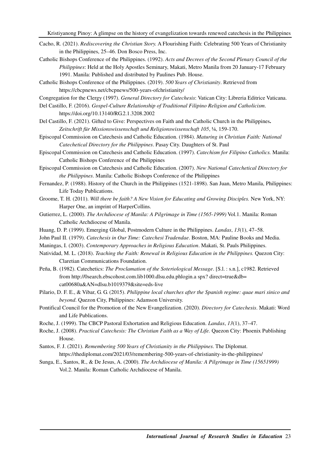- Cacho, R. (2021). *Rediscovering the Christian Story.* A Flourishing Faith: Celebrating 500 Years of Christianity in the Philippines, 25–46. Don Bosco Press, Inc.
- Catholic Bishops Conference of the Philippines. (1992). *Acts and Decrees of the Second Plenary Council of the Philippines*: Held at the Holy Apostles Seminary, Makati, Metro Manila from 20 January-17 February 1991. Manila: Published and distributed by Paulines Pub. House.
- Catholic Bishops Conference of the Philippines. (2019). *500 Years of Christianity*. Retrieved from https://cbcpnews.net/cbcpnews/500-years-ofchristianity/

Congregation for the Clergy (1997). *General Directory for Catechesis*: Vatican City: Libreria Editrice Vaticana.

- Del Castillo, F. (2016). *Gospel-Culture Relationship of Traditional Filipino Religion and Catholicism*. https://doi.org/10.13140/RG.2.1.3208.2002
- Del Castillo, F. (2021). Gifted to Give: Perspectives on Faith and the Catholic Church in the Philippines**.**  *Zeitschrift für Missionswissenschaft und Religionswissenschaft 105*, ¼, 159-170.
- Episcopal Commission on Catechesis and Catholic Education. (1984). *Maturing in Christian Faith: National Catechetical Directory for the Philippines*. Pasay City. Daughters of St. Paul
- Episcopal Commission on Catechesis and Catholic Education. (1997). *Catechism for Filipino Catholics.* Manila: Catholic Bishops Conference of the Philippines

Episcopal Commission on Catechesis and Catholic Education. (2007). *New National Catechetical Directory for the Philippines*. Manila: Catholic Bishops Conference of the Philippines

- Fernandez, P. (1988). History of the Church in the Philippines (1521-1898). San Juan, Metro Manila, Philippines: Life Today Publications.
- Groome, T. H. (2011). *Will there be faith? A New Vision for Educating and Growing Disciples.* New York, NY: Harper One, an imprint of HarperCollins.
- Gutierrez, L. (2000). *The Archdiocese of Manila: A Pilgrimage in Time (1565-1999)* Vol.1. Manila: Roman Catholic Archdiocese of Manila.
- Huang, D. P. (1999). Emerging Global, Postmodern Culture in the Philippines. *Landas*, *13*(1), 47–58.
- John Paul II. (1979). *Catechesis in Our Time: Catechesi Tradendae*. Boston, MA: Pauline Books and Media.
- Maningas, I. (2003). *Contemporary Approaches in Religious Education*. Makati, St. Pauls Philippines.
- Natividad, M. L. (2018). *Teaching the Faith: Renewal in Religious Education in the Philippines.* Quezon City: Claretian Communications Foundation.
- Peña, B. (1982). Catechetics: *The Proclamation of the Soteriological Message*. [S.l. : s.n.], c1982. Retrieved from http://0search.ebscohost.com.lib1000.dlsu.edu.phlogin.a spx? direct=true&db= cat00680a&AN=dlsu.b1019379&site=eds-live
- Pilario, D. F. E., & Vibar, G. G. (2015). *Philippine local churches after the Spanish regime: quae mari sinico and beyond*. Quezon City, Philippines: Adamson University.
- Pontifical Council for the Promotion of the New Evangelization. (2020). *Directory for Catechesis*. Makati: Word and Life Publications.
- Roche, J. (1999). The CBCP Pastoral Exhortation and Religious Education. *Landas*, *13*(1), 37–47.
- Roche, J. (2008). *Practical Catechesis: The Christian Faith as a Way of Life.* Quezon City: Phoenix Publishing House.
- Santos, F. J. (2021). *Remembering 500 Years of Christianity in the Philippines*. The Diplomat. https://thediplomat.com/2021/03/remembering-500-years-of-christianity-in-the-philippines/
- Sunga, E., Santos, R., & De Jesus, A. (2000). *The Archdiocese of Manila: A Pilgrimage in Time (15651999)*  Vol.2. Manila: Roman Catholic Archdiocese of Manila.